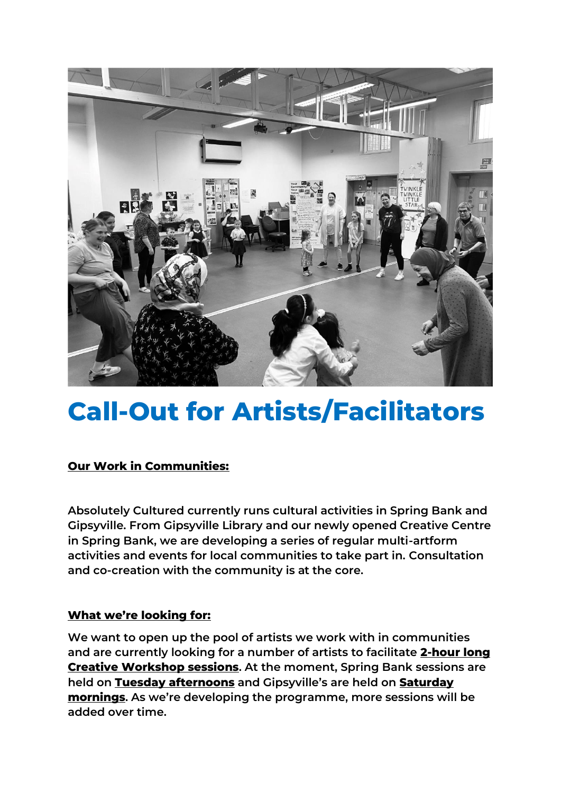

## **Call-Out for Artists/Facilitators**

## **Our Work in Communities:**

**Absolutely Cultured currently runs cultural activities in Spring Bank and Gipsyville. From Gipsyville Library and our newly opened Creative Centre in Spring Bank, we are developing a series of regular multi-artform activities and events for local communities to take part in. Consultation and co-creation with the community is at the core.**

## **What we're looking for:**

**We want to open up the pool of artists we work with in communities and are currently looking for a number of artists to facilitate 2-hour long Creative Workshop sessions. At the moment, Spring Bank sessions are held on Tuesday afternoons and Gipsyville's are held on Saturday mornings. As we're developing the programme, more sessions will be added over time.**